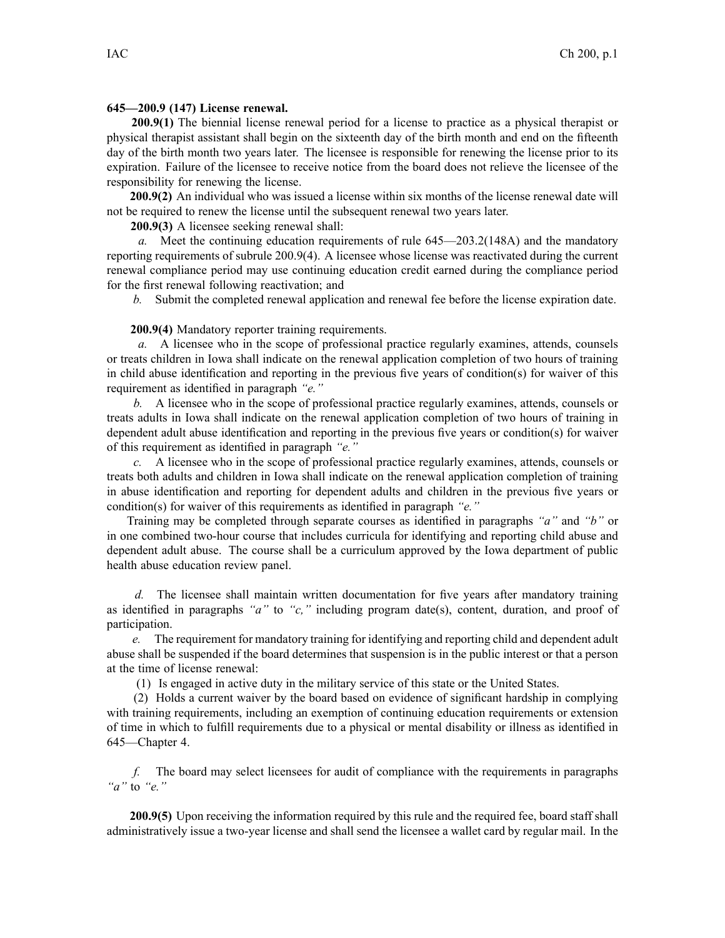## **645—200.9 (147) License renewal.**

**200.9(1)** The biennial license renewal period for <sup>a</sup> license to practice as <sup>a</sup> physical therapist or physical therapist assistant shall begin on the sixteenth day of the birth month and end on the fifteenth day of the birth month two years later. The licensee is responsible for renewing the license prior to its expiration. Failure of the licensee to receive notice from the board does not relieve the licensee of the responsibility for renewing the license.

**200.9(2)** An individual who was issued <sup>a</sup> license within six months of the license renewal date will not be required to renew the license until the subsequent renewal two years later.

**200.9(3)** A licensee seeking renewal shall:

*a.* Meet the continuing education requirements of rule 645—203.2(148A) and the mandatory reporting requirements of subrule 200.9(4). A licensee whose license was reactivated during the current renewal compliance period may use continuing education credit earned during the compliance period for the first renewal following reactivation; and

*b.* Submit the completed renewal application and renewal fee before the license expiration date.

## **200.9(4)** Mandatory reporter training requirements.

*a.* A licensee who in the scope of professional practice regularly examines, attends, counsels or treats children in Iowa shall indicate on the renewal application completion of two hours of training in child abuse identification and reporting in the previous five years of condition(s) for waiver of this requirement as identified in paragraph *"e."*

*b.* A licensee who in the scope of professional practice regularly examines, attends, counsels or treats adults in Iowa shall indicate on the renewal application completion of two hours of training in dependent adult abuse identification and reporting in the previous five years or condition(s) for waiver of this requirement as identified in paragraph *"e."*

*c.* A licensee who in the scope of professional practice regularly examines, attends, counsels or treats both adults and children in Iowa shall indicate on the renewal application completion of training in abuse identification and reporting for dependent adults and children in the previous five years or condition(s) for waiver of this requirements as identified in paragraph *"e."*

Training may be completed through separate courses as identified in paragraphs *"a"* and *"b"* or in one combined two-hour course that includes curricula for identifying and reporting child abuse and dependent adult abuse. The course shall be <sup>a</sup> curriculum approved by the Iowa department of public health abuse education review panel.

*d.* The licensee shall maintain written documentation for five years after mandatory training as identified in paragraphs *"a"* to *"c,"* including program date(s), content, duration, and proof of participation.

*e.* The requirement for mandatory training for identifying and reporting child and dependent adult abuse shall be suspended if the board determines that suspension is in the public interest or that <sup>a</sup> person at the time of license renewal:

(1) Is engaged in active duty in the military service of this state or the United States.

(2) Holds <sup>a</sup> current waiver by the board based on evidence of significant hardship in complying with training requirements, including an exemption of continuing education requirements or extension of time in which to fulfill requirements due to <sup>a</sup> physical or mental disability or illness as identified in 645—Chapter 4.

*f.* The board may select licensees for audit of compliance with the requirements in paragraphs *"a"* to *"e."*

**200.9(5)** Upon receiving the information required by this rule and the required fee, board staff shall administratively issue <sup>a</sup> two-year license and shall send the licensee <sup>a</sup> wallet card by regular mail. In the